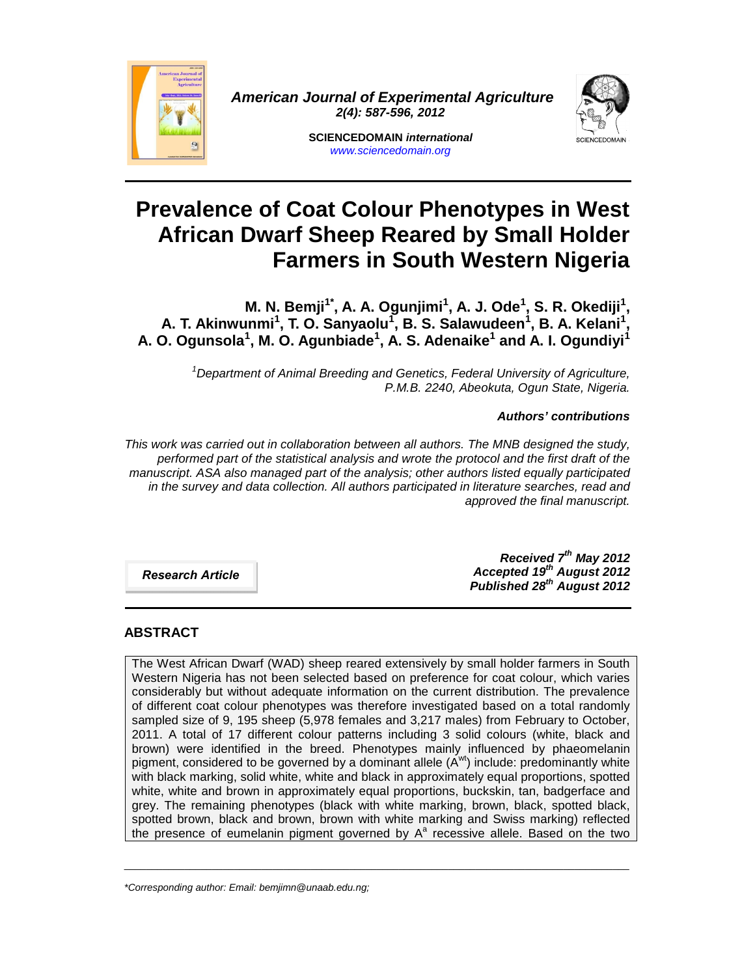

*American Journal of Experimental Agriculture 2(4): 587-596, 2012*



**SCIENCEDOMAIN** *international www.sciencedomain.org*

# **Prevalence of Coat Colour Phenotypes in West African Dwarf Sheep Reared by Small Holder Farmers in South Western Nigeria**

**M. N. Bemji1\*, A. A. Ogunjimi<sup>1</sup> , A. J. Ode<sup>1</sup> , S. R. Okediji<sup>1</sup> , A. T. Akinwunmi<sup>1</sup> , T. O. Sanyaolu<sup>1</sup> , B. S. Salawudeen<sup>1</sup> , B. A. Kelani<sup>1</sup> , A. O. Ogunsola<sup>1</sup> , M. O. Agunbiade<sup>1</sup> , A. S. Adenaike<sup>1</sup> and A. I. Ogundiyi<sup>1</sup>**

> *<sup>1</sup>Department of Animal Breeding and Genetics, Federal University of Agriculture, P.M.B. 2240, Abeokuta, Ogun State, Nigeria.*

# *Authors' contributions*

*This work was carried out in collaboration between all authors. The MNB designed the study, performed part of the statistical analysis and wrote the protocol and the first draft of the manuscript. ASA also managed part of the analysis; other authors listed equally participated in the survey and data collection. All authors participated in literature searches, read and approved the final manuscript.*

*Research Article*

*Received 7 th May 2012 Accepted 19th August 2012 Published 28th August 2012*

# **ABSTRACT**

The West African Dwarf (WAD) sheep reared extensively by small holder farmers in South Western Nigeria has not been selected based on preference for coat colour, which varies considerably but without adequate information on the current distribution. The prevalence of different coat colour phenotypes was therefore investigated based on a total randomly sampled size of 9, 195 sheep (5,978 females and 3,217 males) from February to October, 2011. A total of 17 different colour patterns including 3 solid colours (white, black and brown) were identified in the breed. Phenotypes mainly influenced by phaeomelanin pigment, considered to be governed by a dominant allele  $(A^{wt})$  include: predominantly white with black marking, solid white, white and black in approximately equal proportions, spotted white, white and brown in approximately equal proportions, buckskin, tan, badgerface and grey. The remaining phenotypes (black with white marking, brown, black, spotted black, spotted brown, black and brown, brown with white marking and Swiss marking) reflected the presence of eumelanin pigment governed by  $A^a$  recessive allele. Based on the two

 $\_$  ,  $\_$  ,  $\_$  ,  $\_$  ,  $\_$  ,  $\_$  ,  $\_$  ,  $\_$  ,  $\_$  ,  $\_$  ,  $\_$  ,  $\_$  ,  $\_$  ,  $\_$  ,  $\_$  ,  $\_$  ,  $\_$  ,  $\_$  ,  $\_$  ,  $\_$  ,  $\_$  ,  $\_$  ,  $\_$  ,  $\_$  ,  $\_$  ,  $\_$  ,  $\_$  ,  $\_$  ,  $\_$  ,  $\_$  ,  $\_$  ,  $\_$  ,  $\_$  ,  $\_$  ,  $\_$  ,  $\_$  ,  $\_$  ,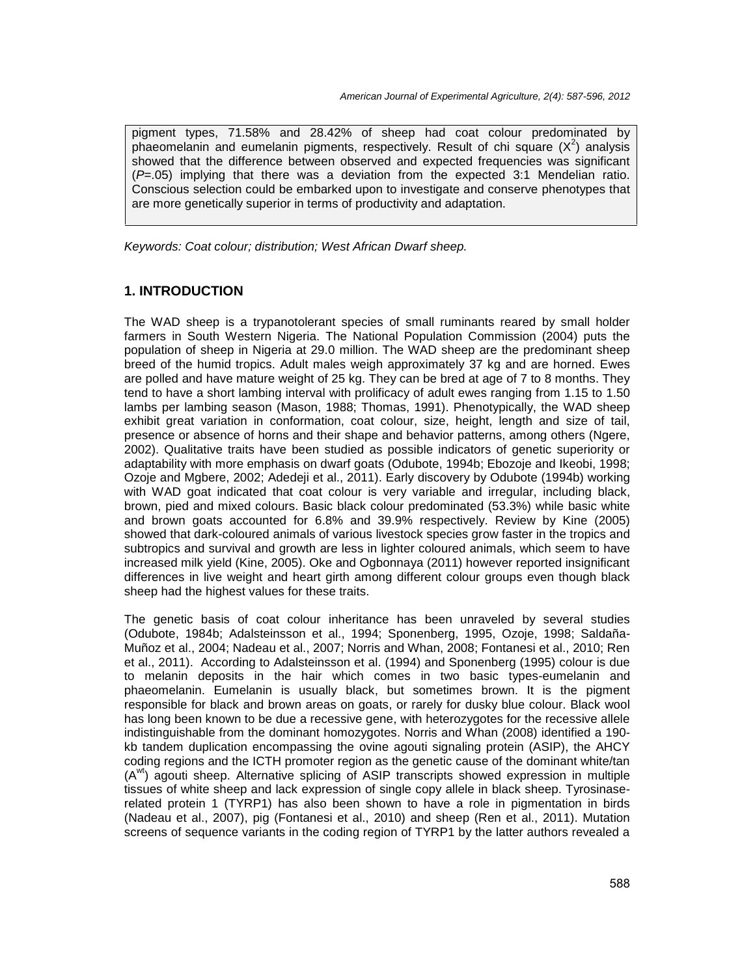pigment types, 71.58% and 28.42% of sheep had coat colour predominated by phaeomelanin and eumelanin pigments, respectively. Result of chi square  $(X^2)$  analysis showed that the difference between observed and expected frequencies was significant (*P*=.05) implying that there was a deviation from the expected 3:1 Mendelian ratio. Conscious selection could be embarked upon to investigate and conserve phenotypes that are more genetically superior in terms of productivity and adaptation.

*Keywords: Coat colour; distribution; West African Dwarf sheep.*

# **1. INTRODUCTION**

The WAD sheep is a trypanotolerant species of small ruminants reared by small holder farmers in South Western Nigeria. The National Population Commission (2004) puts the population of sheep in Nigeria at 29.0 million. The WAD sheep are the predominant sheep breed of the humid tropics. Adult males weigh approximately 37 kg and are horned. Ewes are polled and have mature weight of 25 kg. They can be bred at age of 7 to 8 months. They tend to have a short lambing interval with prolificacy of adult ewes ranging from 1.15 to 1.50 lambs per lambing season (Mason, 1988; Thomas, 1991). Phenotypically, the WAD sheep exhibit great variation in conformation, coat colour, size, height, length and size of tail, presence or absence of horns and their shape and behavior patterns, among others (Ngere, 2002). Qualitative traits have been studied as possible indicators of genetic superiority or adaptability with more emphasis on dwarf goats (Odubote, 1994b; Ebozoje and Ikeobi, 1998; Ozoje and Mgbere, 2002; Adedeji et al., 2011). Early discovery by Odubote (1994b) working with WAD goat indicated that coat colour is very variable and irregular, including black, brown, pied and mixed colours. Basic black colour predominated (53.3%) while basic white and brown goats accounted for 6.8% and 39.9% respectively. Review by Kine (2005) showed that dark-coloured animals of various livestock species grow faster in the tropics and subtropics and survival and growth are less in lighter coloured animals, which seem to have increased milk yield (Kine, 2005). Oke and Ogbonnaya (2011) however reported insignificant differences in live weight and heart girth among different colour groups even though black sheep had the highest values for these traits.

The genetic basis of coat colour inheritance has been unraveled by several studies (Odubote, 1984b; Adalsteinsson et al., 1994; Sponenberg, 1995, Ozoje, 1998; Saldaña- Muñoz et al., 2004; Nadeau et al., 2007; Norris and Whan, 2008; Fontanesi et al., 2010; Ren et al., 2011). According to Adalsteinsson et al. (1994) and Sponenberg (1995) colour is due to melanin deposits in the hair which comes in two basic types-eumelanin and phaeomelanin. Eumelanin is usually black, but sometimes brown. It is the pigment responsible for black and brown areas on goats, or rarely for dusky blue colour. Black wool has long been known to be due a recessive gene, with heterozygotes for the recessive allele indistinguishable from the dominant homozygotes. Norris and Whan (2008) identified a 190 kb tandem duplication encompassing the ovine agouti signaling protein (ASIP), the AHCY coding regions and the ICTH promoter region as the genetic cause of the dominant white/tan  $(A<sup>wt</sup>)$  agouti sheep. Alternative splicing of ASIP transcripts showed expression in multiple tissues of white sheep and lack expression of single copy allele in black sheep. Tyrosinaserelated protein 1 (TYRP1) has also been shown to have a role in pigmentation in birds (Nadeau et al., 2007), pig (Fontanesi et al., 2010) and sheep (Ren et al., 2011). Mutation screens of sequence variants in the coding region of TYRP1 by the latter authors revealed a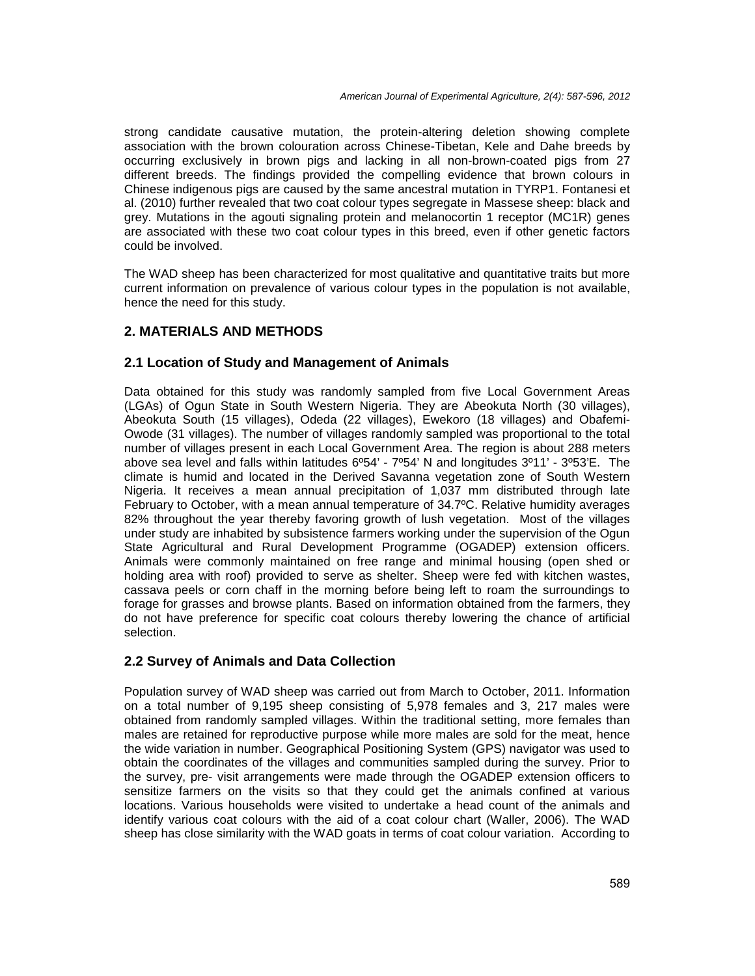strong candidate causative mutation, the protein-altering deletion showing complete association with the brown colouration across Chinese-Tibetan, Kele and Dahe breeds by occurring exclusively in brown pigs and lacking in all non-brown-coated pigs from 27 different breeds. The findings provided the compelling evidence that brown colours in Chinese indigenous pigs are caused by the same ancestral mutation in TYRP1. Fontanesi et al. (2010) further revealed that two coat colour types segregate in Massese sheep: black and grey. Mutations in the agouti signaling protein and melanocortin 1 receptor (MC1R) genes are associated with these two coat colour types in this breed, even if other genetic factors could be involved.

The WAD sheep has been characterized for most qualitative and quantitative traits but more current information on prevalence of various colour types in the population is not available, hence the need for this study.

# **2. MATERIALS AND METHODS**

# **2.1 Location of Study and Management of Animals**

Data obtained for this study was randomly sampled from five Local Government Areas (LGAs) of Ogun State in South Western Nigeria. They are Abeokuta North (30 villages), Abeokuta South (15 villages), Odeda (22 villages), Ewekoro (18 villages) and Obafemi- Owode (31 villages). The number of villages randomly sampled was proportional to the total number of villages present in each Local Government Area. The region is about 288 meters above sea level and falls within latitudes 6º54' - 7º54' N and longitudes 3º11' - 3º53'E. The climate is humid and located in the Derived Savanna vegetation zone of South Western Nigeria. It receives a mean annual precipitation of 1,037 mm distributed through late February to October, with a mean annual temperature of 34.7ºC. Relative humidity averages 82% throughout the year thereby favoring growth of lush vegetation. Most of the villages under study are inhabited by subsistence farmers working under the supervision of the Ogun State Agricultural and Rural Development Programme (OGADEP) extension officers. Animals were commonly maintained on free range and minimal housing (open shed or holding area with roof) provided to serve as shelter. Sheep were fed with kitchen wastes, cassava peels or corn chaff in the morning before being left to roam the surroundings to forage for grasses and browse plants. Based on information obtained from the farmers, they do not have preference for specific coat colours thereby lowering the chance of artificial selection.

## **2.2 Survey of Animals and Data Collection**

Population survey of WAD sheep was carried out from March to October, 2011. Information on a total number of 9,195 sheep consisting of 5,978 females and 3, 217 males were obtained from randomly sampled villages. Within the traditional setting, more females than males are retained for reproductive purpose while more males are sold for the meat, hence the wide variation in number. Geographical Positioning System (GPS) navigator was used to obtain the coordinates of the villages and communities sampled during the survey. Prior to the survey, pre- visit arrangements were made through the OGADEP extension officers to sensitize farmers on the visits so that they could get the animals confined at various locations. Various households were visited to undertake a head count of the animals and identify various coat colours with the aid of a coat colour chart (Waller, 2006). The WAD sheep has close similarity with the WAD goats in terms of coat colour variation. According to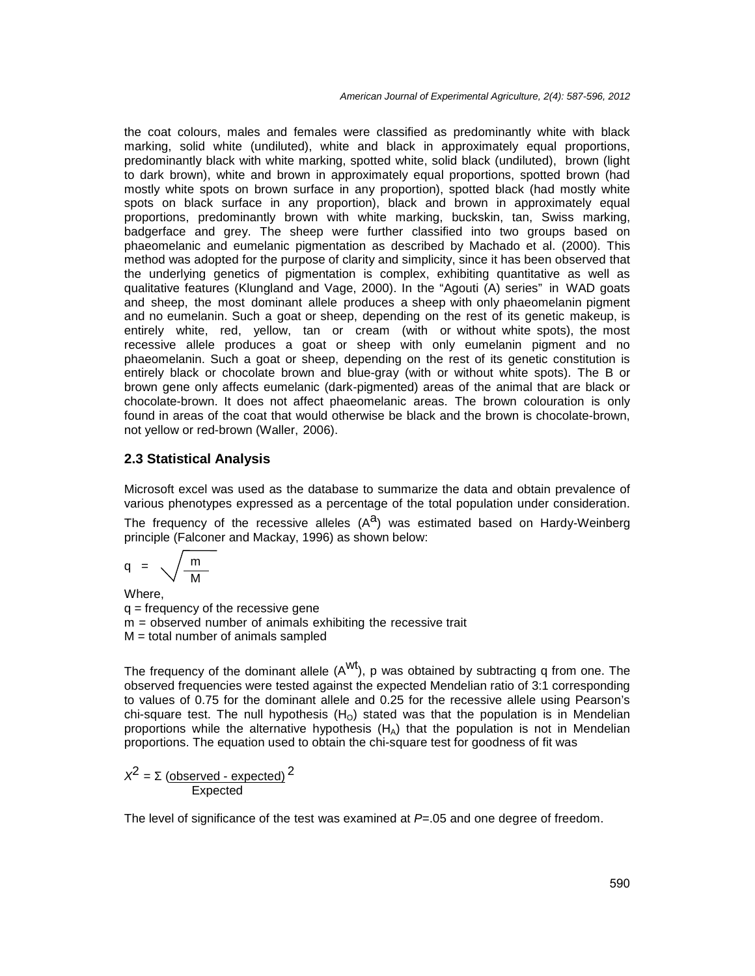the coat colours, males and females were classified as predominantly white with black marking, solid white (undiluted), white and black in approximately equal proportions, predominantly black with white marking, spotted white, solid black (undiluted), brown (light to dark brown), white and brown in approximately equal proportions, spotted brown (had mostly white spots on brown surface in any proportion), spotted black (had mostly white spots on black surface in any proportion), black and brown in approximately equal proportions, predominantly brown with white marking, buckskin, tan, Swiss marking, badgerface and grey. The sheep were further classified into two groups based on phaeomelanic and eumelanic pigmentation as described by Machado et al. (2000). This method was adopted for the purpose of clarity and simplicity, since it has been observed that the underlying genetics of pigmentation is complex, exhibiting quantitative as well as qualitative features (Klungland and Vage, 2000). In the "Agouti (A) series" in WAD goats and sheep, the most dominant allele produces a sheep with only phaeomelanin pigment and no eumelanin. Such a goat or sheep, depending on the restof its genetic makeup, is entirely white, red, yellow, tan or cream (with or without white spots), the most recessive allele produces a goat or sheep with only eumelanin pigment and no phaeomelanin. Such a goat or sheep, depending on the rest of its genetic constitution is entirely black or chocolate brown and blue-gray (with or without white spots). The B or brown gene only affects eumelanic (dark-pigmented) areas of the animal that are black or chocolate-brown. It does not affect phaeomelanic areas. The brown colouration is only found in areas of the coat that would otherwise be black and the brown is chocolate-brown, not yellow or red-brown (Waller, 2006).

#### **2.3 Statistical Analysis**

Microsoft excel was used as the database to summarize the data and obtain prevalence of various phenotypes expressed as a percentage of the total population under consideration.

The frequency of the recessive alleles  $(A^a)$  was estimated based on Hardy-Weinberg principle (Falconer and Mackay, 1996) as shown below:

$$
q = \sqrt{\frac{m}{M}}
$$

Where,  $q = \text{frequency of the recessive gene}$ m = observed number of animals exhibiting the recessive trait  $M =$  total number of animals sampled

The frequency of the dominant allele  $(A<sup>wt</sup>)$ , p was obtained by subtracting q from one. The observed frequencies were tested against the expected Mendelian ratio of 3:1 corresponding to values of 0.75 for the dominant allele and 0.25 for the recessive allele using Pearson's chi-square test. The null hypothesis  $(H<sub>O</sub>)$  stated was that the population is in Mendelian proportions while the alternative hypothesis  $(H_A)$  that the population is not in Mendelian proportions. The equation used to obtain the chi-square test for goodness of fit was

$$
x^2 = \frac{(\text{observed - expected})}{\text{Expected}}
$$

The level of significance of the test was examined at *P*=.05 and one degree of freedom.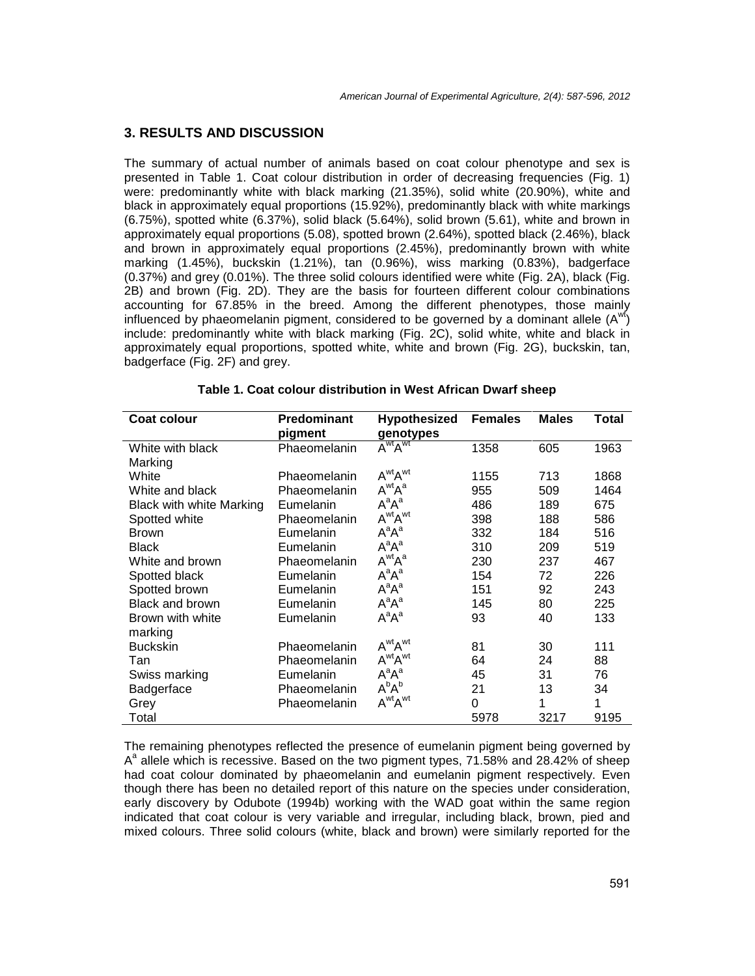#### **3. RESULTS AND DISCUSSION**

The summary of actual number of animals based on coat colour phenotype and sex is presented in Table 1. Coat colour distribution in order of decreasing frequencies (Fig. 1) were: predominantly white with black marking (21.35%), solid white (20.90%), white and black in approximately equal proportions (15.92%), predominantly black with white markings (6.75%), spotted white (6.37%), solid black (5.64%), solid brown (5.61), white and brown in approximately equal proportions (5.08), spotted brown (2.64%), spotted black (2.46%), black and brown in approximately equal proportions (2.45%), predominantly brown with white marking (1.45%), buckskin (1.21%), tan (0.96%), wiss marking (0.83%), badgerface (0.37%) and grey (0.01%). The three solid colours identified were white (Fig. 2A), black (Fig. 2B) and brown (Fig. 2D). They are the basis for fourteen different colour combinations accounting for 67.85% in the breed. Among the different phenotypes, those mainly influenced by phaeomelanin pigment, considered to be governed by a dominant allele  $(A<sup>wt</sup>)$ include: predominantly white with black marking (Fig. 2C), solid white, white and black in approximately equal proportions, spotted white, white and brown (Fig. 2G), buckskin, tan, badgerface (Fig. 2F) and grey.

| <b>Coat colour</b>              | <b>Predominant</b><br>pigment | <b>Hypothesized</b><br>genotypes        | <b>Females</b> | <b>Males</b> | Total |
|---------------------------------|-------------------------------|-----------------------------------------|----------------|--------------|-------|
| White with black                | Phaeomelanin                  | $\overline{A}^{\text{wt}}A^{\text{wt}}$ | 1358           | 605          | 1963  |
| Marking                         |                               |                                         |                |              |       |
| White                           | <b>Phaeomelanin</b>           | A <sup>wt</sup> A <sup>wt</sup>         | 1155           | 713          | 1868  |
| White and black                 | Phaeomelanin                  | $A^{wt}A^a$                             | 955            | 509          | 1464  |
| <b>Black with white Marking</b> | Eumelanin                     | $A^aA^a$                                | 486            | 189          | 675   |
| Spotted white                   | <b>Phaeomelanin</b>           | A <sup>wt</sup> A <sup>wt</sup>         | 398            | 188          | 586   |
| <b>Brown</b>                    | Eumelanin                     | $A^aA^a$                                | 332            | 184          | 516   |
| <b>Black</b>                    | Eumelanin                     | $A^aA^a$                                | 310            | 209          | 519   |
| White and brown                 | <b>Phaeomelanin</b>           | A <sup>wt</sup> A <sup>a</sup>          | 230            | 237          | 467   |
| Spotted black                   | Eumelanin                     | $A^aA^a$                                | 154            | 72           | 226   |
| Spotted brown                   | Eumelanin                     | $A^aA^a$                                | 151            | 92           | 243   |
| Black and brown                 | Eumelanin                     | $A^aA^a$                                | 145            | 80           | 225   |
| Brown with white                | Eumelanin                     | $A^aA^a$                                | 93             | 40           | 133   |
| marking                         |                               |                                         |                |              |       |
| <b>Buckskin</b>                 | <b>Phaeomelanin</b>           | A <sup>wt</sup> A <sup>wt</sup>         | 81             | 30           | 111   |
| Tan                             | <b>Phaeomelanin</b>           | A <sup>wt</sup> A <sup>wt</sup>         | 64             | 24           | 88    |
| Swiss marking                   | Eumelanin                     | $A^aA^a$                                | 45             | 31           | 76    |
| Badgerface                      | Phaeomelanin                  | $A^bA^b$                                | 21             | 13           | 34    |
| Grey                            | Phaeomelanin                  | A <sup>wt</sup> A <sup>wt</sup>         | 0              | 1            | 1     |
| Total                           |                               |                                         | 5978           | 3217         | 9195  |

The remaining phenotypes reflected the presence of eumelanin pigment being governed by A<sup>a</sup> allele which is recessive. Based on the two pigment types, 71.58% and 28.42% of sheep had coat colour dominated by phaeomelanin and eumelanin pigment respectively. Even though there has been no detailed report of this nature on the species under consideration, early discovery by Odubote (1994b) working with the WAD goat within the same region indicated that coat colour is very variable and irregular, including black, brown, pied and mixed colours. Three solid colours (white, black and brown) were similarly reported for the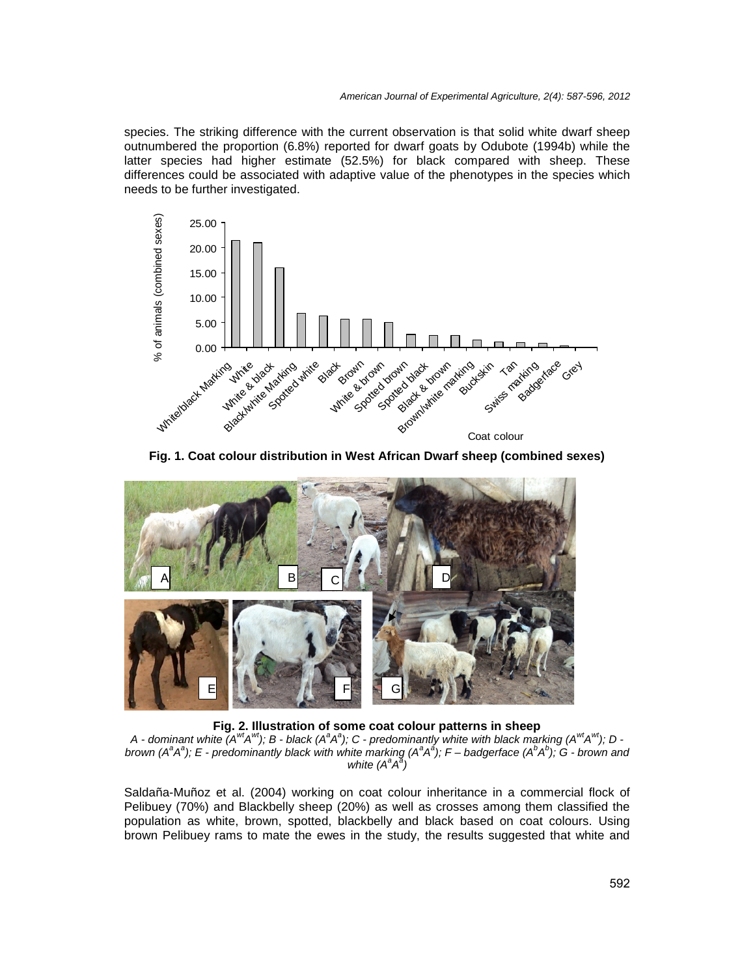species. The striking difference with the current observation is that solid white dwarf sheep outnumbered the proportion (6.8%) reported for dwarf goats by Odubote (1994b) while the latter species had higher estimate (52.5%) for black compared with sheep. These differences could be associated with adaptive value of the phenotypes in the species which needs to be further investigated.



**Fig. 1. Coat colour distribution in West African Dwarf sheep (combined sexes)**



**Fig. 2. Illustration of some coat colour patterns in sheep**

A - dominant white (A $^{wt}$ A $^{wt}$ ); B - black (A $^a$ A $^a$ ); C - predominantly white with black marking (A $^{wt}$ A $^{wt}$ ); D brown (A $^a$ A $^a$ ); E - predominantly black with white marking (A $^a$ A $^{\hat{a}}$ ); F – badgerface (A $^b$ A $^b$ ); G - brown and *white*  $(A^a A^{\bar{a}})$ 

Saldaña-Muñoz et al. (2004) working on coat colour inheritance in a commercial flock of Pelibuey (70%) and Blackbelly sheep (20%) as well as crosses among them classified the population as white, brown, spotted, blackbelly and black based on coat colours. Using brown Pelibuey rams to mate the ewes in the study, the results suggested that white and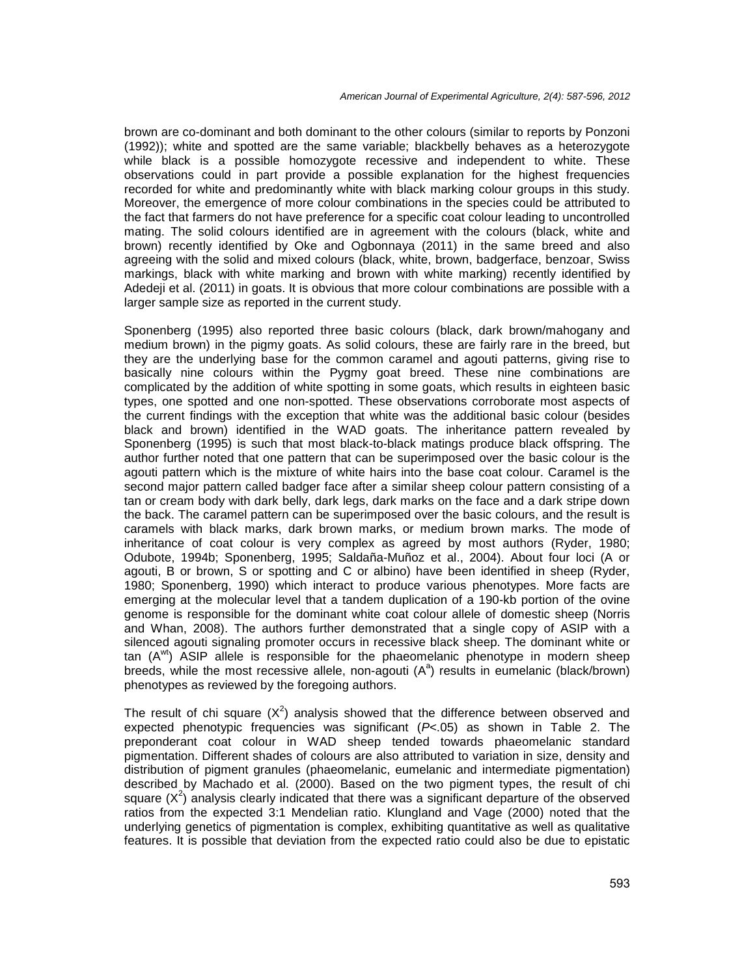brown are co-dominant and both dominant to the other colours (similar to reports by Ponzoni (1992)); white and spotted are the same variable; blackbelly behaves as a heterozygote while black is a possible homozygote recessive and independent to white. These observations could in part provide a possible explanation for the highest frequencies recorded for white and predominantly white with black marking colour groups in this study. Moreover, the emergence of more colour combinations in the species could be attributed to the fact that farmers do not have preference for a specific coat colour leading to uncontrolled mating. The solid colours identified are in agreement with the colours (black, white and brown) recently identified by Oke and Ogbonnaya (2011) in the same breed and also agreeing with the solid and mixed colours (black, white, brown, badgerface, benzoar, Swiss markings, black with white marking and brown with white marking) recently identified by Adedeji et al. (2011) in goats. It is obvious that more colour combinations are possible with a larger sample size as reported in the current study.

Sponenberg (1995) also reported three basic colours (black, dark brown/mahogany and medium brown) in the pigmy goats. As solid colours, these are fairly rare in the breed, but they are the underlying base for the common caramel and agouti patterns, giving rise to basically nine colours within the Pygmy goat breed. These nine combinations are complicated by the addition of white spotting in some goats, which results in eighteen basic types, one spotted and one non-spotted. These observations corroborate most aspects of the current findings with the exception that white was the additional basic colour (besides black and brown) identified in the WAD goats. The inheritance pattern revealed by Sponenberg (1995) is such that most black-to-black matings produce black offspring. The author further noted that one pattern that can be superimposed over the basic colour is the agouti pattern which is the mixture of white hairs into the base coat colour. Caramel is the second major pattern called badger face after a similar sheep colour pattern consisting of a tan or cream body with dark belly, dark legs, dark marks on the face and a dark stripe down the back. The caramel pattern can be superimposed over the basic colours, and the result is caramels with black marks, dark brown marks, or medium brown marks. The mode of inheritance of coat colour is very complex as agreed by most authors (Ryder, 1980; Odubote, 1994b; Sponenberg, 1995; Saldaña-Muñoz et al., 2004). About four loci (A or agouti, B or brown, S or spotting and C or albino) have been identified in sheep (Ryder, 1980; Sponenberg, 1990) which interact to produce various phenotypes. More facts are emerging at the molecular level that a tandem duplication of a 190-kb portion of the ovine genome is responsible for the dominant white coat colour allele of domestic sheep (Norris and Whan, 2008). The authors further demonstrated that a single copy of ASIP with a silenced agouti signaling promoter occurs in recessive black sheep. The dominant white or tan  $(A<sup>wt</sup>)$  ASIP allele is responsible for the phaeomelanic phenotype in modern sheep breeds, while the most recessive allele, non-agouti  $(A^a)$  results in eumelanic (black/brown) phenotypes as reviewed by the foregoing authors.

The result of chi square  $(X^2)$  analysis showed that the difference between observed and expected phenotypic frequencies was significant (*P<*.05) as shown in Table 2. The preponderant coat colour in WAD sheep tended towards phaeomelanic standard pigmentation. Different shades of colours are also attributed to variation in size, density and distribution of pigment granules (phaeomelanic, eumelanic and intermediate pigmentation) described by Machado et al. (2000). Based on the two pigment types, the result of chi square  $(X^2)$  analysis clearly indicated that there was a significant departure of the observed ratios from the expected 3:1 Mendelian ratio. Klungland and Vage (2000) noted that the underlying genetics of pigmentation is complex, exhibiting quantitative as well as qualitative features. It is possible that deviation from the expected ratio could also be due to epistatic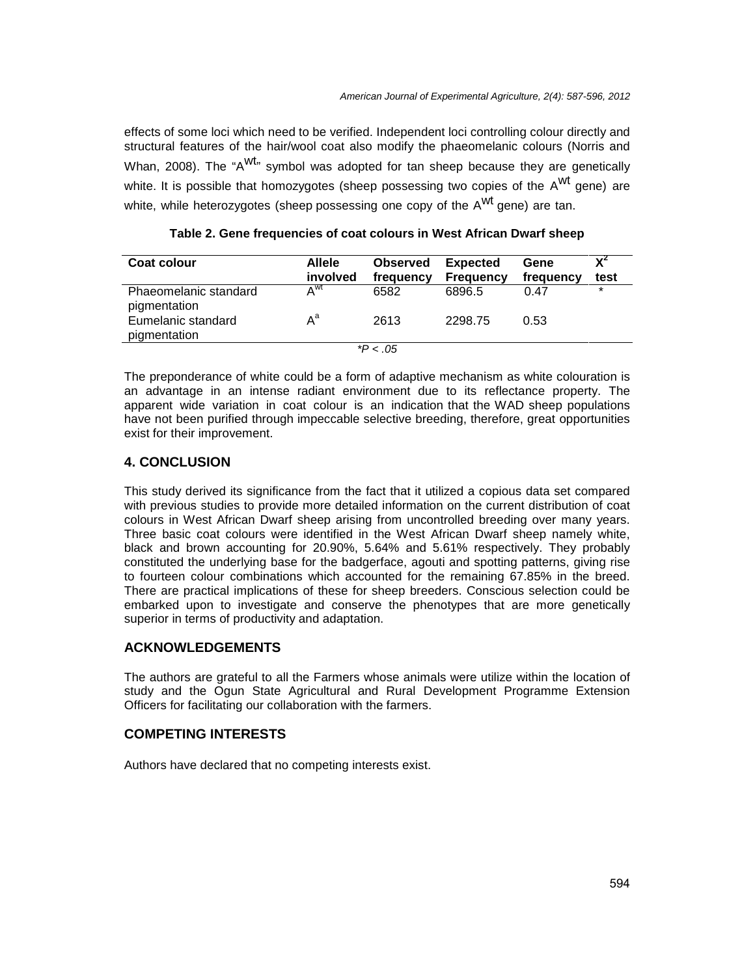effects of some loci which need to be verified. Independent loci controlling colour directly and structural features of the hair/wool coat also modify the phaeomelanic colours (Norris and Whan, 2008). The "A<sup>Wt</sup>" symbol was adopted for tan sheep because they are genetically white. It is possible that homozygotes (sheep possessing two copies of the A<sup>wt</sup> gene) are white, while heterozygotes (sheep possessing one copy of the A<sup>wt</sup> gene) are tan.

| Coat colour                           | <b>Allele</b><br>involved | <b>Observed</b><br>frequency | <b>Expected</b><br><b>Frequency</b> | Gene<br>frequency | test    |
|---------------------------------------|---------------------------|------------------------------|-------------------------------------|-------------------|---------|
| Phaeomelanic standard<br>pigmentation | $A^{\text{wt}}$           | 6582                         | 6896.5                              | 0.47              | $\star$ |
| Eumelanic standard<br>pigmentation    | $A^a$                     | 2613                         | 2298.75                             | 0.53              |         |
|                                       |                           | * $P < .05$                  |                                     |                   |         |

**Table 2. Gene frequencies of coat colours in West African Dwarf sheep**

The preponderance of white could be a form of adaptive mechanism as white colouration is an advantage in an intense radiant environment due to its reflectance property. The apparent wide variation in coat colour is an indication that the WAD sheep populations have not been purified through impeccable selective breeding, therefore, great opportunities exist for their improvement.

#### **4. CONCLUSION**

This study derived its significance from the fact that it utilized a copious data set compared with previous studies to provide more detailed information on the current distribution of coat colours in West African Dwarf sheep arising from uncontrolled breeding over many years. Three basic coat colours were identified in the West African Dwarf sheep namely white, black and brown accounting for 20.90%, 5.64% and 5.61% respectively. They probably constituted the underlying base for the badgerface, agouti and spotting patterns, giving rise to fourteen colour combinations which accounted for the remaining 67.85% in the breed. There are practical implications of these for sheep breeders. Conscious selection could be embarked upon to investigate and conserve the phenotypes that are more genetically superior in terms of productivity and adaptation.

## **ACKNOWLEDGEMENTS**

The authors are grateful to all the Farmers whose animals were utilize within the location of study and the Ogun State Agricultural and Rural Development Programme Extension Officers for facilitating our collaboration with the farmers.

#### **COMPETING INTERESTS**

Authors have declared that no competing interests exist.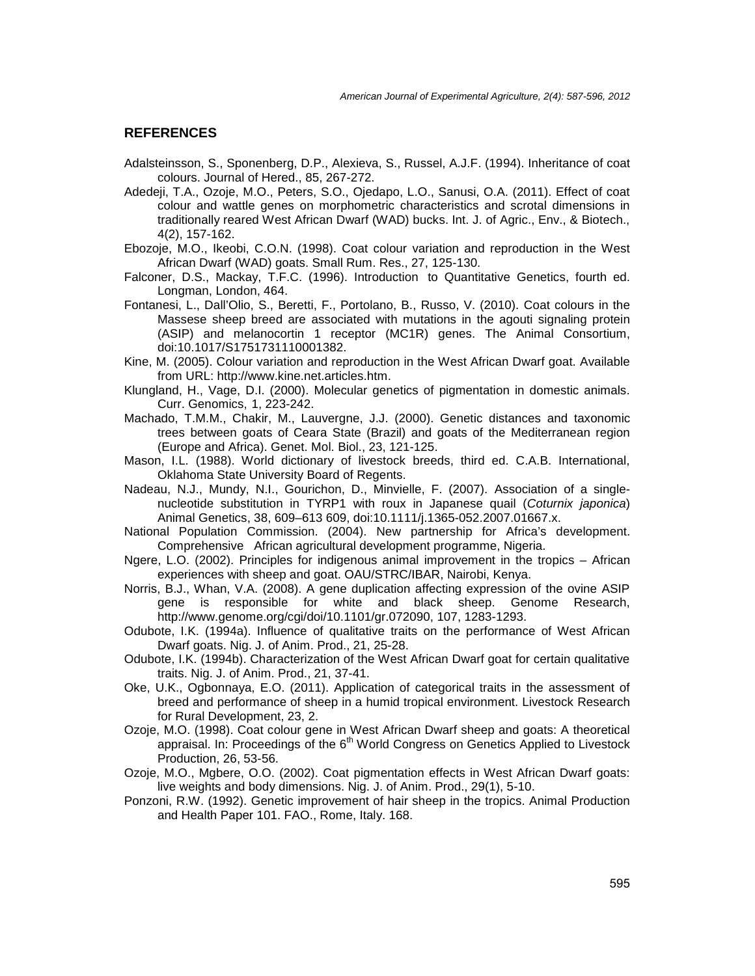#### **REFERENCES**

- Adalsteinsson, S., Sponenberg, D.P., Alexieva, S., Russel, A.J.F. (1994). Inheritance of coat colours. Journal of Hered., 85, 267-272.
- Adedeji, T.A., Ozoje, M.O., Peters, S.O., Ojedapo, L.O., Sanusi, O.A. (2011). Effect of coat colour and wattle genes on morphometric characteristics and scrotal dimensions in traditionally reared West African Dwarf (WAD) bucks. Int. J. of Agric., Env., & Biotech., 4(2), 157-162.
- Ebozoje, M.O., Ikeobi, C.O.N. (1998). Coat colour variation and reproduction in the West African Dwarf (WAD) goats. Small Rum. Res., 27, 125-130.
- Falconer, D.S., Mackay, T.F.C. (1996). Introduction to Quantitative Genetics, fourth ed. Longman, London, 464.
- Fontanesi, L., Dall'Olio, S., Beretti, F., Portolano, B., Russo, V. (2010). Coat colours in the Massese sheep breed are associated with mutations in the agouti signaling protein (ASIP) and melanocortin 1 receptor (MC1R) genes. The Animal Consortium, doi:10.1017/S1751731110001382.
- Kine, M. (2005). Colour variation and reproduction in the West African Dwarf goat. Available from URL: http://www.kine.net.articles.htm.
- Klungland, H., Vage, D.I. (2000). Molecular genetics of pigmentation in domestic animals. Curr. Genomics, 1, 223-242.
- Machado, T.M.M., Chakir, M., Lauvergne, J.J. (2000). Genetic distances and taxonomic trees between goats of Ceara State (Brazil) and goats of the Mediterranean region (Europe and Africa). Genet. Mol. Biol., 23, 121-125.
- Mason, I.L. (1988). World dictionary of livestock breeds, third ed. C.A.B. International, Oklahoma State University Board of Regents.
- Nadeau, N.J., Mundy, N.I., Gourichon, D., Minvielle, F. (2007). Association of a single nucleotide substitution in TYRP1 with roux in Japanese quail (*Coturnix japonica*) Animal Genetics, 38, 609–613 609, doi:10.1111/j.1365-052.2007.01667.x.
- National Population Commission. (2004). New partnership for Africa's development. Comprehensive African agricultural development programme, Nigeria.
- Ngere, L.O. (2002). Principles for indigenous animal improvement in the tropics African experiences with sheep and goat. OAU/STRC/IBAR, Nairobi, Kenya.
- Norris, B.J., Whan, V.A. (2008). A gene duplication affecting expression of the ovine ASIP gene is responsible for white and black sheep. Genome Research, http://www.genome.org/cgi/doi/10.1101/gr.072090, 107, 1283-1293.
- Odubote, I.K. (1994a). Influence of qualitative traits on the performance of West African Dwarf goats. Nig. J. of Anim. Prod., 21, 25-28.
- Odubote, I.K. (1994b). Characterization of the West African Dwarf goat for certain qualitative traits. Nig. J. of Anim. Prod., 21, 37-41.
- Oke, U.K., Ogbonnaya, E.O. (2011). Application of categorical traits in the assessment of breed and performance of sheep in a humid tropical environment. Livestock Research for Rural Development, 23, 2.
- Ozoje, M.O. (1998). Coat colour gene in West African Dwarf sheep and goats: A theoretical appraisal. In: Proceedings of the  $6<sup>th</sup>$  World Congress on Genetics Applied to Livestock Production, 26, 53-56.
- Ozoje, M.O., Mgbere, O.O. (2002). Coat pigmentation effects in West African Dwarf goats: live weights and body dimensions. Nig. J. of Anim. Prod., 29(1), 5-10.
- Ponzoni, R.W. (1992). Genetic improvement of hair sheep in the tropics. Animal Production and Health Paper 101. FAO., Rome, Italy. 168.